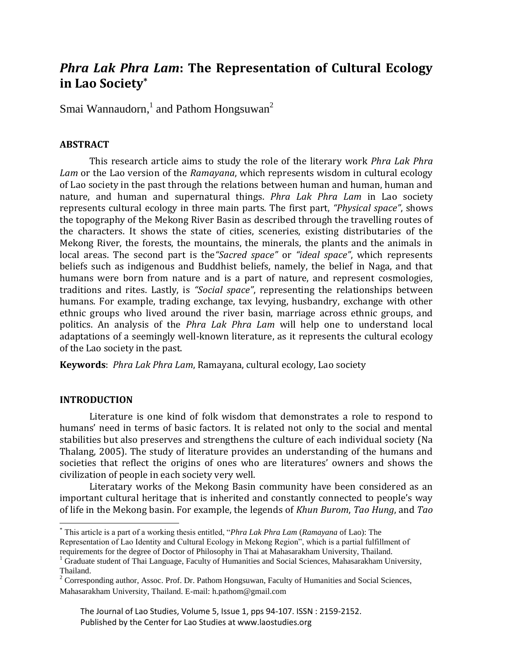# *Phra Lak Phra Lam***: The Representation of Cultural Ecology in Lao Society\***

Smai Wannaudorn, $^1$  and Pathom Hongsuwan $^2$ 

## **ABSTRACT**

This research article aims to study the role of the literary work *Phra Lak Phra Lam* or the Lao version of the *Ramayana*, which represents wisdom in cultural ecology of Lao society in the past through the relations between human and human, human and nature, and human and supernatural things. *Phra Lak Phra Lam* in Lao society represents cultural ecology in three main parts. The first part, *"Physical space"*, shows the topography of the Mekong River Basin as described through the travelling routes of the characters. It shows the state of cities, sceneries, existing distributaries of the Mekong River, the forests, the mountains, the minerals, the plants and the animals in local areas. The second part is the*"Sacred space"* or *"ideal space"*, which represents beliefs such as indigenous and Buddhist beliefs, namely, the belief in Naga, and that humans were born from nature and is a part of nature, and represent cosmologies, traditions and rites. Lastly, is *"Social space"*, representing the relationships between humans. For example, trading exchange, tax levying, husbandry, exchange with other ethnic groups who lived around the river basin, marriage across ethnic groups, and politics. An analysis of the *Phra Lak Phra Lam* will help one to understand local adaptations of a seemingly well-known literature, as it represents the cultural ecology of the Lao society in the past.

**Keywords**: *Phra Lak Phra Lam*, Ramayana, cultural ecology, Lao society

## **INTRODUCTION**

 $\overline{\phantom{a}}$ 

Literature is one kind of folk wisdom that demonstrates a role to respond to humans' need in terms of basic factors. It is related not only to the social and mental stabilities but also preserves and strengthens the culture of each individual society (Na Thalang, 2005). The study of literature provides an understanding of the humans and societies that reflect the origins of ones who are literatures' owners and shows the civilization of people in each society very well.

Literatary works of the Mekong Basin community have been considered as an important cultural heritage that is inherited and constantly connected to people's way of life in the Mekong basin. For example, the legends of *Khun Burom*, *Tao Hung*, and *Tao* 

<sup>\*</sup> This article is a part of a working thesis entitled, "*Phra Lak Phra Lam* (*Ramayana* of Lao): The Representation of Lao Identity and Cultural Ecology in Mekong Region", which is a partial fulfillment of

requirements for the degree of Doctor of Philosophy in Thai at Mahasarakham University, Thailand.  $1$  Graduate student of Thai Language, Faculty of Humanities and Social Sciences, Mahasarakham University, Thailand.

 $2^2$  Corresponding author, Assoc. Prof. Dr. Pathom Hongsuwan, Faculty of Humanities and Social Sciences, Mahasarakham University, Thailand. E-mail: h.pathom@gmail.com

The Journal of Lao Studies, Volume 5, Issue 1, pps 94-107. ISSN : 2159-2152. Published by the Center for Lao Studies at www.laostudies.org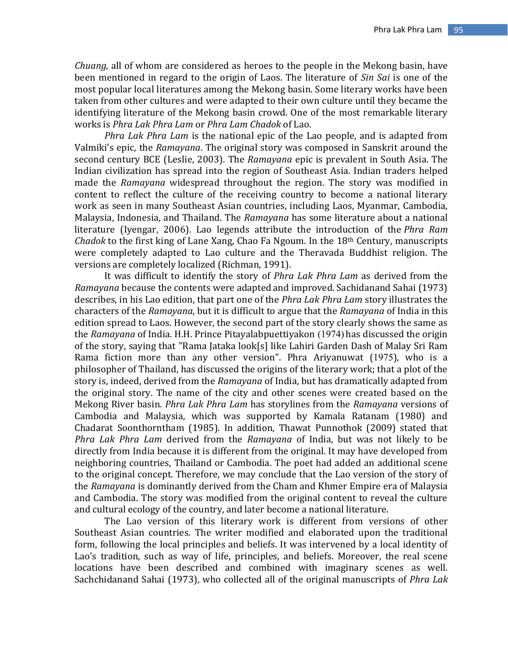*Chuang*, all of whom are considered as heroes to the people in the Mekong basin, have been mentioned in regard to the origin of Laos. The literature of *Sin Sai* is one of the most popular local literatures among the Mekong basin. Some literary works have been taken from other cultures and were adapted to their own culture until they became the identifying literature of the Mekong basin crowd. One of the most remarkable literary works is *Phra Lak Phra Lam* or *Phra Lam Chadok* of Lao.

*Phra Lak Phra Lam* is the national epic of the Lao people, and is adapted from Valmiki's epic, the *Ramayana*. The original story was composed in Sanskrit around the second century BCE (Leslie, 2003). The *Ramayana* epic is prevalent in South Asia. The Indian civilization has spread into the region of Southeast Asia. Indian traders helped made the *Ramayana* widespread throughout the region. The story was modified in content to reflect the culture of the receiving country to become a national literary work as seen in many Southeast Asian countries, including Laos, Myanmar, Cambodia, Malaysia, Indonesia, and Thailand. The *Ramayana* has some literature about a national literature (Iyengar, 2006). Lao legends attribute the introduction of the *Phra Ram Chadok* to the first king of Lane Xang, Chao Fa Ngoum. In the 18th Century, manuscripts were completely adapted to Lao culture and the Theravada Buddhist religion. The versions are completely localized (Richman, 1991).

It was difficult to identify the story of *Phra Lak Phra Lam* as derived from the *Ramayana* because the contents were adapted and improved. Sachidanand Sahai (1973) describes, in his Lao edition, that part one of the *Phra Lak Phra Lam* story illustrates the characters of the *Ramayana,* but it is difficult to argue that the *Ramayana* of India in this edition spread to Laos. However, the second part of the story clearly shows the same as the *Ramayana* of India. H.H. Prince Pitayalabpuettiyakon (1974) has discussed the origin of the story, saying that "Rama Jataka look[s] like Lahiri Garden Dash of Malay Sri Ram Rama fiction more than any other version". Phra Ariyanuwat (1975), who is a philosopher of Thailand, has discussed the origins of the literary work; that a plot of the story is, indeed, derived from the *Ramayana* of India, but has dramatically adapted from the original story. The name of the city and other scenes were created based on the Mekong River basin. *Phra Lak Phra Lam* has storylines from the *Ramayana* versions of Cambodia and Malaysia, which was supported by Kamala Ratanam (1980) and Chadarat Soonthorntham (1985). In addition, Thawat Punnothok (2009) stated that *Phra Lak Phra Lam* derived from the *Ramayana* of India, but was not likely to be directly from India because it is different from the original. It may have developed from neighboring countries, Thailand or Cambodia. The poet had added an additional scene to the original concept. Therefore, we may conclude that the Lao version of the story of the *Ramayana* is dominantly derived from the Cham and Khmer Empire era of Malaysia and Cambodia. The story was modified from the original content to reveal the culture and cultural ecology of the country, and later become a national literature.

The Lao version of this literary work is different from versions of other Southeast Asian countries. The writer modified and elaborated upon the traditional form, following the local principles and beliefs. It was intervened by a local identity of Lao's tradition, such as way of life, principles, and beliefs. Moreover, the real scene locations have been described and combined with imaginary scenes as well. Sachchidanand Sahai (1973), who collected all of the original manuscripts of *Phra Lak*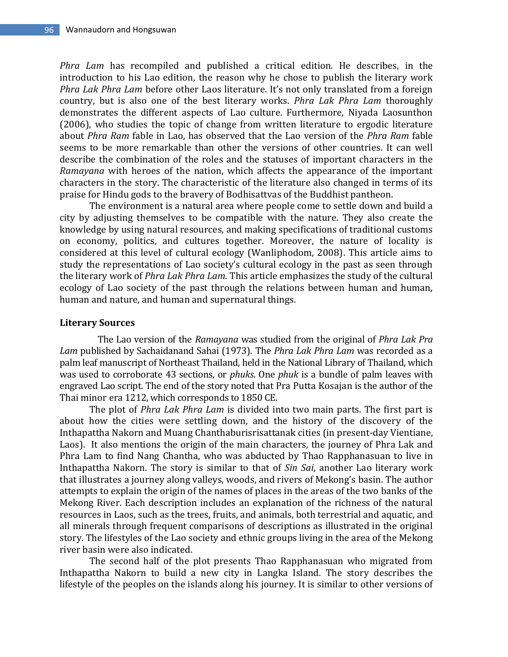*Phra Lam* has recompiled and published a critical edition. He describes, in the introduction to his Lao edition, the reason why he chose to publish the literary work *Phra Lak Phra Lam* before other Laos literature. It's not only translated from a foreign country, but is also one of the best literary works. *Phra Lak Phra Lam* thoroughly demonstrates the different aspects of Lao culture. Furthermore, Niyada Laosunthon (2006), who studies the topic of change from written literature to ergodic literature about *Phra Ram* fable in Lao, has observed that the Lao version of the *Phra Ram* fable seems to be more remarkable than other the versions of other countries. It can well describe the combination of the roles and the statuses of important characters in the *Ramayana* with heroes of the nation, which affects the appearance of the important characters in the story. The characteristic of the literature also changed in terms of its praise for Hindu gods to the bravery of Bodhisattvas of the Buddhist pantheon.

The environment is a natural area where people come to settle down and build a city by adjusting themselves to be compatible with the nature. They also create the knowledge by using natural resources, and making specifications of traditional customs on economy, politics, and cultures together. Moreover, the nature of locality is considered at this level of cultural ecology (Wanliphodom, 2008). This article aims to study the representations of Lao society's cultural ecology in the past as seen through the literary work of *Phra Lak Phra Lam*. This article emphasizes the study of the cultural ecology of Lao society of the past through the relations between human and human, human and nature, and human and supernatural things.

#### **Literary Sources**

The Lao version of the *Ramayana* was studied from the original of *Phra Lak Pra Lam* published by Sachaidanand Sahai (1973). The *Phra Lak Phra Lam* was recorded as a palm leaf manuscript of Northeast Thailand, held in the National Library of Thailand, which was used to corroborate 43 sections, or *phuks*. One *phuk* is a bundle of palm leaves with engraved Lao script. The end of the story noted that Pra Putta Kosajan is the author of the Thai minor era 1212, which corresponds to 1850 CE.

The plot of *Phra Lak Phra Lam* is divided into two main parts. The first part is about how the cities were settling down, and the history of the discovery of the Inthapattha Nakorn and Muang Chanthaburisrisattanak cities (in present-day Vientiane, Laos). It also mentions the origin of the main characters, the journey of Phra Lak and Phra Lam to find Nang Chantha, who was abducted by Thao Rapphanasuan to live in Inthapattha Nakorn. The story is similar to that of *Sin Sai*, another Lao literary work that illustrates a journey along valleys, woods, and rivers of Mekong's basin. The author attempts to explain the origin of the names of places in the areas of the two banks of the Mekong River. Each description includes an explanation of the richness of the natural resources in Laos, such as the trees, fruits, and animals, both terrestrial and aquatic, and all minerals through frequent comparisons of descriptions as illustrated in the original story. The lifestyles of the Lao society and ethnic groups living in the area of the Mekong river basin were also indicated.

The second half of the plot presents Thao Rapphanasuan who migrated from Inthapattha Nakorn to build a new city in Langka Island. The story describes the lifestyle of the peoples on the islands along his journey. It is similar to other versions of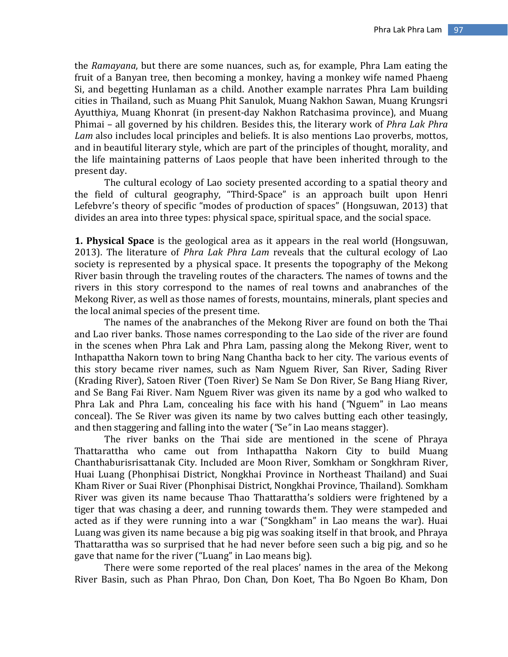the *Ramayana*, but there are some nuances, such as, for example, Phra Lam eating the fruit of a Banyan tree, then becoming a monkey, having a monkey wife named Phaeng Si, and begetting Hunlaman as a child. Another example narrates Phra Lam building cities in Thailand, such as Muang Phit Sanulok, Muang Nakhon Sawan, Muang Krungsri Ayutthiya, Muang Khonrat (in present-day Nakhon Ratchasima province), and Muang Phimai – all governed by his children*.* Besides this, the literary work of *Phra Lak Phra Lam* also includes local principles and beliefs. It is also mentions Lao proverbs, mottos, and in beautiful literary style, which are part of the principles of thought, morality, and the life maintaining patterns of Laos people that have been inherited through to the present day.

The cultural ecology of Lao society presented according to a spatial theory and the field of cultural geography, "Third-Space" is an approach built upon Henri Lefebvre's theory of specific "modes of production of spaces" (Hongsuwan, 2013) that divides an area into three types: physical space, spiritual space, and the social space.

**1. Physical Space** is the geological area as it appears in the real world (Hongsuwan, 2013). The literature of *Phra Lak Phra Lam* reveals that the cultural ecology of Lao society is represented by a physical space. It presents the topography of the Mekong River basin through the traveling routes of the characters. The names of towns and the rivers in this story correspond to the names of real towns and anabranches of the Mekong River, as well as those names of forests, mountains, minerals, plant species and the local animal species of the present time.

The names of the anabranches of the Mekong River are found on both the Thai and Lao river banks. Those names corresponding to the Lao side of the river are found in the scenes when Phra Lak and Phra Lam, passing along the Mekong River, went to Inthapattha Nakorn town to bring Nang Chantha back to her city. The various events of this story became river names, such as Nam Nguem River, San River, Sading River (Krading River), Satoen River (Toen River) Se Nam Se Don River, Se Bang Hiang River, and Se Bang Fai River. Nam Nguem River was given its name by a god who walked to Phra Lak and Phra Lam, concealing his face with his hand (*"*Nguem" in Lao means conceal). The Se River was given its name by two calves butting each other teasingly, and then staggering and falling into the water (*"*Se*"* in Lao means stagger).

The river banks on the Thai side are mentioned in the scene of Phraya Thattarattha who came out from Inthapattha Nakorn City to build Muang Chanthaburisrisattanak City. Included are Moon River, Somkham or Songkhram River, Huai Luang (Phonphisai District, Nongkhai Province in Northeast Thailand) and Suai Kham River or Suai River (Phonphisai District, Nongkhai Province, Thailand). Somkham River was given its name because Thao Thattarattha's soldiers were frightened by a tiger that was chasing a deer, and running towards them. They were stampeded and acted as if they were running into a war ("Songkham" in Lao means the war). Huai Luang was given its name because a big pig was soaking itself in that brook, and Phraya Thattarattha was so surprised that he had never before seen such a big pig, and so he gave that name for the river ("Luang" in Lao means big).

There were some reported of the real places' names in the area of the Mekong River Basin, such as Phan Phrao, Don Chan, Don Koet, Tha Bo Ngoen Bo Kham, Don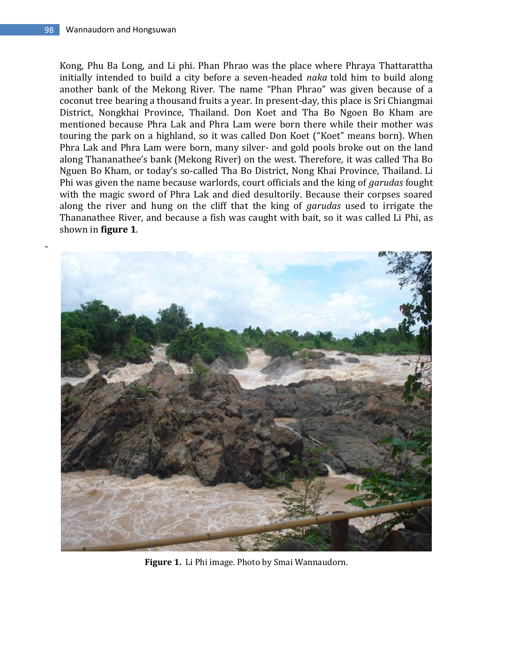-

Kong, Phu Ba Long, and Li phi. Phan Phrao was the place where Phraya Thattarattha initially intended to build a city before a seven-headed *naka* told him to build along another bank of the Mekong River. The name "Phan Phrao" was given because of a coconut tree bearing a thousand fruits a year. In present-day, this place is Sri Chiangmai District, Nongkhai Province, Thailand. Don Koet and Tha Bo Ngoen Bo Kham are mentioned because Phra Lak and Phra Lam were born there while their mother was touring the park on a highland, so it was called Don Koet ("Koet" means born). When Phra Lak and Phra Lam were born, many silver- and gold pools broke out on the land along Thananathee's bank (Mekong River) on the west. Therefore, it was called Tha Bo Nguen Bo Kham, or today's so-called Tha Bo District, Nong Khai Province, Thailand. Li Phi was given the name because warlords, court officials and the king of *garudas* fought with the magic sword of Phra Lak and died desultorily. Because their corpses soared along the river and hung on the cliff that the king of *garudas* used to irrigate the Thananathee River, and because a fish was caught with bait, so it was called Li Phi, as shown in **figure 1**.



**Figure 1.** Li Phi image. Photo by Smai Wannaudorn.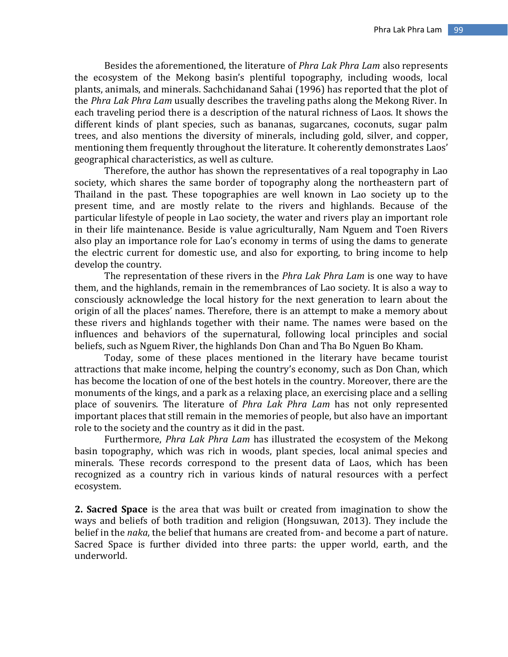Besides the aforementioned, the literature of *Phra Lak Phra Lam* also represents the ecosystem of the Mekong basin's plentiful topography, including woods, local plants, animals, and minerals. Sachchidanand Sahai (1996) has reported that the plot of the *Phra Lak Phra Lam* usually describes the traveling paths along the Mekong River. In each traveling period there is a description of the natural richness of Laos. It shows the different kinds of plant species, such as bananas, sugarcanes, coconuts, sugar palm trees, and also mentions the diversity of minerals, including gold, silver, and copper, mentioning them frequently throughout the literature. It coherently demonstrates Laos' geographical characteristics, as well as culture.

Therefore, the author has shown the representatives of a real topography in Lao society, which shares the same border of topography along the northeastern part of Thailand in the past. These topographies are well known in Lao society up to the present time, and are mostly relate to the rivers and highlands. Because of the particular lifestyle of people in Lao society, the water and rivers play an important role in their life maintenance. Beside is value agriculturally, Nam Nguem and Toen Rivers also play an importance role for Lao's economy in terms of using the dams to generate the electric current for domestic use, and also for exporting, to bring income to help develop the country.

The representation of these rivers in the *Phra Lak Phra Lam* is one way to have them, and the highlands, remain in the remembrances of Lao society. It is also a way to consciously acknowledge the local history for the next generation to learn about the origin of all the places' names. Therefore, there is an attempt to make a memory about these rivers and highlands together with their name. The names were based on the influences and behaviors of the supernatural, following local principles and social beliefs, such as Nguem River, the highlands Don Chan and Tha Bo Nguen Bo Kham.

Today, some of these places mentioned in the literary have became tourist attractions that make income, helping the country's economy, such as Don Chan, which has become the location of one of the best hotels in the country. Moreover, there are the monuments of the kings, and a park as a relaxing place, an exercising place and a selling place of souvenirs. The literature of *Phra Lak Phra Lam* has not only represented important places that still remain in the memories of people, but also have an important role to the society and the country as it did in the past.

Furthermore, *Phra Lak Phra Lam* has illustrated the ecosystem of the Mekong basin topography, which was rich in woods, plant species, local animal species and minerals. These records correspond to the present data of Laos, which has been recognized as a country rich in various kinds of natural resources with a perfect ecosystem.

**2. Sacred Space** is the area that was built or created from imagination to show the ways and beliefs of both tradition and religion (Hongsuwan, 2013). They include the belief in the *naka*, the belief that humans are created from- and become a part of nature. Sacred Space is further divided into three parts: the upper world, earth, and the underworld.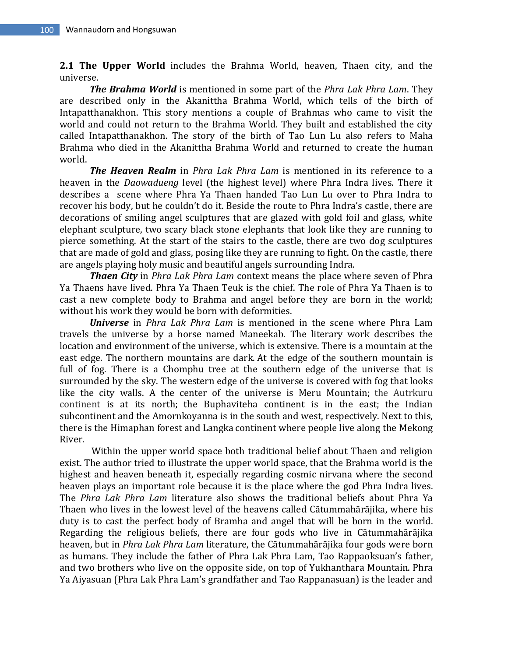**2.1 The Upper World** includes the Brahma World, heaven, Thaen city, and the universe.

*The Brahma World* is mentioned in some part of the *Phra Lak Phra Lam*. They are described only in the Akanittha Brahma World, which tells of the birth of Intapatthanakhon. This story mentions a couple of Brahmas who came to visit the world and could not return to the Brahma World. They built and established the city called Intapatthanakhon. The story of the birth of Tao Lun Lu also refers to Maha Brahma who died in the Akanittha Brahma World and returned to create the human world.

*The Heaven Realm* in *Phra Lak Phra Lam* is mentioned in its reference to a heaven in the *Daowadueng* level (the highest level) where Phra Indra lives. There it describes a scene where Phra Ya Thaen handed Tao Lun Lu over to Phra Indra to recover his body, but he couldn't do it. Beside the route to Phra Indra's castle, there are decorations of smiling angel sculptures that are glazed with gold foil and glass, white elephant sculpture, two scary black stone elephants that look like they are running to pierce something. At the start of the stairs to the castle, there are two dog sculptures that are made of gold and glass, posing like they are running to fight. On the castle, there are angels playing holy music and beautiful angels surrounding Indra.

*Thaen City* in *Phra Lak Phra Lam* context means the place where seven of Phra Ya Thaens have lived. Phra Ya Thaen Teuk is the chief. The role of Phra Ya Thaen is to cast a new complete body to Brahma and angel before they are born in the world; without his work they would be born with deformities.

*Universe* in *Phra Lak Phra Lam* is mentioned in the scene where Phra Lam travels the universe by a horse named Maneekab. The literary work describes the location and environment of the universe, which is extensive. There is a mountain at the east edge. The northern mountains are dark. At the edge of the southern mountain is full of fog. There is a Chomphu tree at the southern edge of the universe that is surrounded by the sky. The western edge of the universe is covered with fog that looks like the city walls. A the center of the universe is Meru Mountain; the Autrkuru continent is at its north; the Buphaviteha continent is in the east; the Indian subcontinent and the Amornkoyanna is in the south and west, respectively. Next to this, there is the Himaphan forest and Langka continent where people live along the Mekong River.

Within the upper world space both traditional belief about Thaen and religion exist. The author tried to illustrate the upper world space, that the Brahma world is the highest and heaven beneath it, especially regarding cosmic nirvana where the second heaven plays an important role because it is the place where the god Phra Indra lives. The *Phra Lak Phra Lam* literature also shows the traditional beliefs about Phra Ya Thaen who lives in the lowest level of the heavens called Cātummahārājika, where his duty is to cast the perfect body of Bramha and angel that will be born in the world. Regarding the religious beliefs, there are four gods who live in Cātummahārājika heaven, but in *Phra Lak Phra Lam* literature, the Cātummahārājika four gods were born as humans. They include the father of Phra Lak Phra Lam, Tao Rappaoksuan's father, and two brothers who live on the opposite side, on top of Yukhanthara Mountain. Phra Ya Aiyasuan (Phra Lak Phra Lam's grandfather and Tao Rappanasuan) is the leader and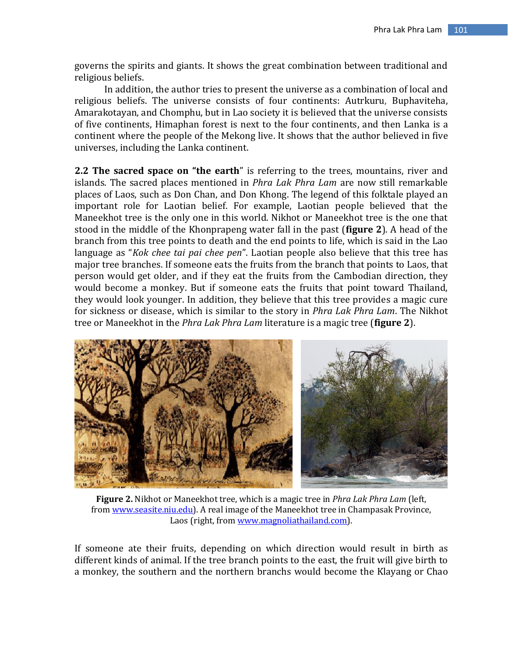governs the spirits and giants. It shows the great combination between traditional and religious beliefs.

In addition, the author tries to present the universe as a combination of local and religious beliefs. The universe consists of four continents: Autrkuru, Buphaviteha, Amarakotayan, and Chomphu, but in Lao society it is believed that the universe consists of five continents, Himaphan forest is next to the four continents, and then Lanka is a continent where the people of the Mekong live. It shows that the author believed in five universes, including the Lanka continent.

**2.2 The sacred space on "the earth**" is referring to the trees, mountains, river and islands. The sacred places mentioned in *Phra Lak Phra Lam* are now still remarkable places of Laos, such as Don Chan, and Don Khong. The legend of this folktale played an important role for Laotian belief. For example, Laotian people believed that the Maneekhot tree is the only one in this world. Nikhot or Maneekhot tree is the one that stood in the middle of the Khonprapeng water fall in the past (**figure 2**). A head of the branch from this tree points to death and the end points to life, which is said in the Lao language as "*Kok chee tai pai chee pen*". Laotian people also believe that this tree has major tree branches. If someone eats the fruits from the branch that points to Laos, that person would get older, and if they eat the fruits from the Cambodian direction, they would become a monkey. But if someone eats the fruits that point toward Thailand, they would look younger. In addition, they believe that this tree provides a magic cure for sickness or disease, which is similar to the story in *Phra Lak Phra Lam*. The Nikhot tree or Maneekhot in the *Phra Lak Phra Lam* literature is a magic tree (**figure 2**).



**Figure 2.** Nikhot or Maneekhot tree, which is a magic tree in *Phra Lak Phra Lam* (left, from [www.seasite.niu.edu\)](http://www.seasite.niu.edu/). A real image of the Maneekhot tree in Champasak Province, Laos (right, fro[m www.magnoliathailand.com\)](http://www.magnoliathailand.com/).

If someone ate their fruits, depending on which direction would result in birth as different kinds of animal. If the tree branch points to the east, the fruit will give birth to a monkey, the southern and the northern branchs would become the Klayang or Chao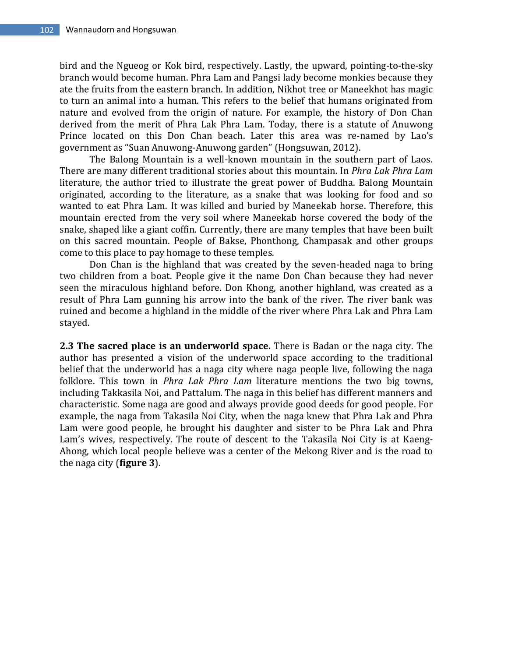bird and the Ngueog or Kok bird, respectively. Lastly, the upward, pointing-to-the-sky branch would become human. Phra Lam and Pangsi lady become monkies because they ate the fruits from the eastern branch. In addition, Nikhot tree or Maneekhot has magic to turn an animal into a human. This refers to the belief that humans originated from nature and evolved from the origin of nature. For example, the history of Don Chan derived from the merit of Phra Lak Phra Lam. Today, there is a statute of Anuwong Prince located on this Don Chan beach. Later this area was re-named by Lao's government as "Suan Anuwong-Anuwong garden" (Hongsuwan, 2012).

The Balong Mountain is a well-known mountain in the southern part of Laos. There are many different traditional stories about this mountain. In *Phra Lak Phra Lam*  literature, the author tried to illustrate the great power of Buddha. Balong Mountain originated, according to the literature, as a snake that was looking for food and so wanted to eat Phra Lam. It was killed and buried by Maneekab horse. Therefore, this mountain erected from the very soil where Maneekab horse covered the body of the snake, shaped like a giant coffin. Currently, there are many temples that have been built on this sacred mountain. People of Bakse, Phonthong, Champasak and other groups come to this place to pay homage to these temples.

Don Chan is the highland that was created by the seven-headed naga to bring two children from a boat. People give it the name Don Chan because they had never seen the miraculous highland before. Don Khong, another highland, was created as a result of Phra Lam gunning his arrow into the bank of the river. The river bank was ruined and become a highland in the middle of the river where Phra Lak and Phra Lam stayed.

**2.3 The sacred place is an underworld space.** There is Badan or the naga city. The author has presented a vision of the underworld space according to the traditional belief that the underworld has a naga city where naga people live, following the naga folklore. This town in *Phra Lak Phra Lam* literature mentions the two big towns, including Takkasila Noi, and Pattalum. The naga in this belief has different manners and characteristic. Some naga are good and always provide good deeds for good people. For example, the naga from Takasila Noi City, when the naga knew that Phra Lak and Phra Lam were good people, he brought his daughter and sister to be Phra Lak and Phra Lam's wives, respectively. The route of descent to the Takasila Noi City is at Kaeng-Ahong, which local people believe was a center of the Mekong River and is the road to the naga city (**figure 3**).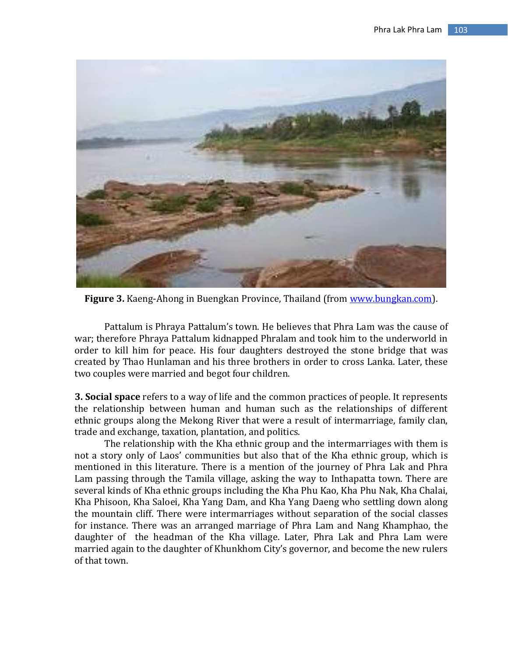

**Figure 3.** Kaeng-Ahong in Buengkan Province, Thailand (from [www.bungkan.com\)](http://www.bungkan.com/).

Pattalum is Phraya Pattalum's town. He believes that Phra Lam was the cause of war; therefore Phraya Pattalum kidnapped Phralam and took him to the underworld in order to kill him for peace. His four daughters destroyed the stone bridge that was created by Thao Hunlaman and his three brothers in order to cross Lanka. Later, these two couples were married and begot four children.

**3. Social space** refers to a way of life and the common practices of people. It represents the relationship between human and human such as the relationships of different ethnic groups along the Mekong River that were a result of intermarriage, family clan, trade and exchange, taxation, plantation, and politics.

The relationship with the Kha ethnic group and the intermarriages with them is not a story only of Laos' communities but also that of the Kha ethnic group, which is mentioned in this literature. There is a mention of the journey of Phra Lak and Phra Lam passing through the Tamila village, asking the way to Inthapatta town. There are several kinds of Kha ethnic groups including the Kha Phu Kao, Kha Phu Nak, Kha Chalai, Kha Phisoon, Kha Saloei, Kha Yang Dam, and Kha Yang Daeng who settling down along the mountain cliff. There were intermarriages without separation of the social classes for instance. There was an arranged marriage of Phra Lam and Nang Khamphao, the daughter of the headman of the Kha village. Later, Phra Lak and Phra Lam were married again to the daughter of Khunkhom City's governor, and become the new rulers of that town.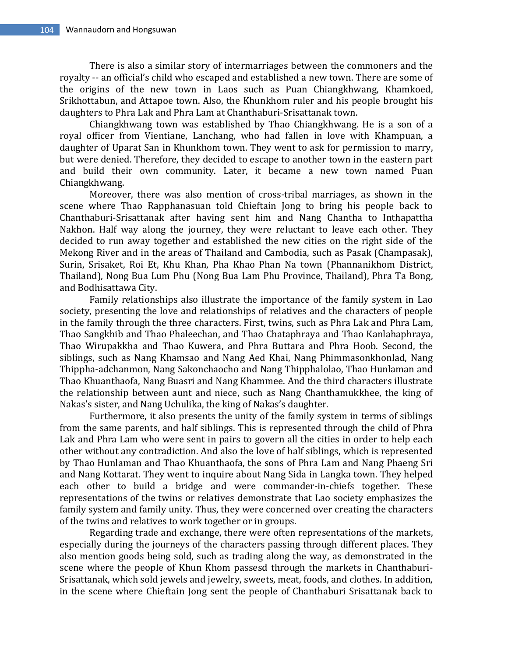There is also a similar story of intermarriages between the commoners and the royalty -- an official's child who escaped and established a new town. There are some of the origins of the new town in Laos such as Puan Chiangkhwang, Khamkoed, Srikhottabun, and Attapoe town. Also, the Khunkhom ruler and his people brought his daughters to Phra Lak and Phra Lam at Chanthaburi-Srisattanak town.

Chiangkhwang town was established by Thao Chiangkhwang. He is a son of a royal officer from Vientiane, Lanchang, who had fallen in love with Khampuan, a daughter of Uparat San in Khunkhom town. They went to ask for permission to marry, but were denied. Therefore, they decided to escape to another town in the eastern part and build their own community. Later, it became a new town named Puan Chiangkhwang.

Moreover, there was also mention of cross-tribal marriages, as shown in the scene where Thao Rapphanasuan told Chieftain Jong to bring his people back to Chanthaburi-Srisattanak after having sent him and Nang Chantha to Inthapattha Nakhon. Half way along the journey, they were reluctant to leave each other. They decided to run away together and established the new cities on the right side of the Mekong River and in the areas of Thailand and Cambodia, such as Pasak (Champasak), Surin, Srisaket, Roi Et, Khu Khan, Pha Khao Phan Na town (Phannanikhom District, Thailand), Nong Bua Lum Phu (Nong Bua Lam Phu Province, Thailand), Phra Ta Bong, and Bodhisattawa City.

 Family relationships also illustrate the importance of the family system in Lao society, presenting the love and relationships of relatives and the characters of people in the family through the three characters. First, twins, such as Phra Lak and Phra Lam, Thao Sangkhib and Thao Phaleechan, and Thao Chataphraya and Thao Kanlahaphraya, Thao Wirupakkha and Thao Kuwera, and Phra Buttara and Phra Hoob. Second, the siblings, such as Nang Khamsao and Nang Aed Khai, Nang Phimmasonkhonlad, Nang Thippha-adchanmon, Nang Sakonchaocho and Nang Thipphalolao, Thao Hunlaman and Thao Khuanthaofa, Nang Buasri and Nang Khammee. And the third characters illustrate the relationship between aunt and niece, such as Nang Chanthamukkhee, the king of Nakas's sister, and Nang Uchulika, the king of Nakas's daughter.

Furthermore, it also presents the unity of the family system in terms of siblings from the same parents, and half siblings. This is represented through the child of Phra Lak and Phra Lam who were sent in pairs to govern all the cities in order to help each other without any contradiction. And also the love of half siblings, which is represented by Thao Hunlaman and Thao Khuanthaofa, the sons of Phra Lam and Nang Phaeng Sri and Nang Kottarat. They went to inquire about Nang Sida in Langka town. They helped each other to build a bridge and were commander-in-chiefs together. These representations of the twins or relatives demonstrate that Lao society emphasizes the family system and family unity. Thus, they were concerned over creating the characters of the twins and relatives to work together or in groups.

Regarding trade and exchange, there were often representations of the markets, especially during the journeys of the characters passing through different places. They also mention goods being sold, such as trading along the way, as demonstrated in the scene where the people of Khun Khom passesd through the markets in Chanthaburi-Srisattanak, which sold jewels and jewelry, sweets, meat, foods, and clothes. In addition, in the scene where Chieftain Jong sent the people of Chanthaburi Srisattanak back to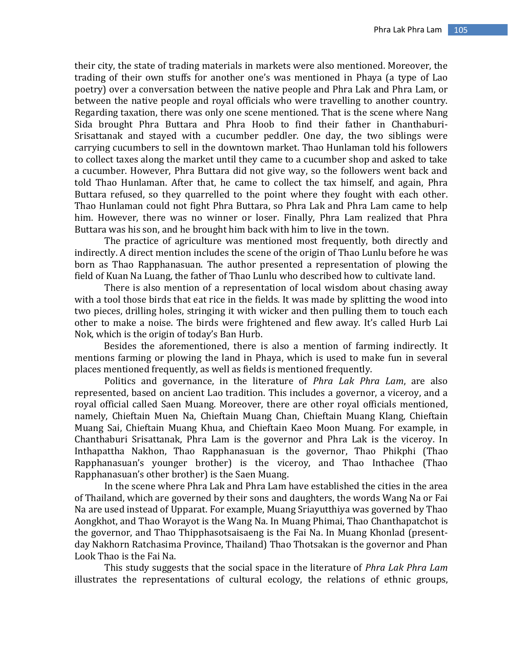their city, the state of trading materials in markets were also mentioned. Moreover, the trading of their own stuffs for another one's was mentioned in Phaya (a type of Lao poetry) over a conversation between the native people and Phra Lak and Phra Lam, or between the native people and royal officials who were travelling to another country. Regarding taxation, there was only one scene mentioned. That is the scene where Nang Sida brought Phra Buttara and Phra Hoob to find their father in Chanthaburi-Srisattanak and stayed with a cucumber peddler. One day, the two siblings were carrying cucumbers to sell in the downtown market. Thao Hunlaman told his followers to collect taxes along the market until they came to a cucumber shop and asked to take a cucumber. However, Phra Buttara did not give way, so the followers went back and told Thao Hunlaman. After that, he came to collect the tax himself, and again, Phra Buttara refused, so they quarrelled to the point where they fought with each other. Thao Hunlaman could not fight Phra Buttara, so Phra Lak and Phra Lam came to help him. However, there was no winner or loser. Finally, Phra Lam realized that Phra Buttara was his son, and he brought him back with him to live in the town.

The practice of agriculture was mentioned most frequently, both directly and indirectly. A direct mention includes the scene of the origin of Thao Lunlu before he was born as Thao Rapphanasuan. The author presented a representation of plowing the field of Kuan Na Luang, the father of Thao Lunlu who described how to cultivate land.

There is also mention of a representation of local wisdom about chasing away with a tool those birds that eat rice in the fields. It was made by splitting the wood into two pieces, drilling holes, stringing it with wicker and then pulling them to touch each other to make a noise. The birds were frightened and flew away. It's called Hurb Lai Nok, which is the origin of today's Ban Hurb.

Besides the aforementioned, there is also a mention of farming indirectly. It mentions farming or plowing the land in Phaya, which is used to make fun in several places mentioned frequently, as well as fields is mentioned frequently.

Politics and governance, in the literature of *Phra Lak Phra Lam*, are also represented, based on ancient Lao tradition. This includes a governor, a viceroy, and a royal official called Saen Muang. Moreover, there are other royal officials mentioned, namely, Chieftain Muen Na, Chieftain Muang Chan, Chieftain Muang Klang, Chieftain Muang Sai, Chieftain Muang Khua, and Chieftain Kaeo Moon Muang. For example, in Chanthaburi Srisattanak, Phra Lam is the governor and Phra Lak is the viceroy. In Inthapattha Nakhon, Thao Rapphanasuan is the governor, Thao Phikphi (Thao Rapphanasuan's younger brother) is the viceroy, and Thao Inthachee (Thao Rapphanasuan's other brother) is the Saen Muang.

In the scene where Phra Lak and Phra Lam have established the cities in the area of Thailand, which are governed by their sons and daughters, the words Wang Na or Fai Na are used instead of Upparat. For example, Muang Sriayutthiya was governed by Thao Aongkhot, and Thao Worayot is the Wang Na. In Muang Phimai, Thao Chanthapatchot is the governor, and Thao Thipphasotsaisaeng is the Fai Na. In Muang Khonlad (presentday Nakhorn Ratchasima Province, Thailand) Thao Thotsakan is the governor and Phan Look Thao is the Fai Na.

This study suggests that the social space in the literature of *Phra Lak Phra Lam* illustrates the representations of cultural ecology, the relations of ethnic groups,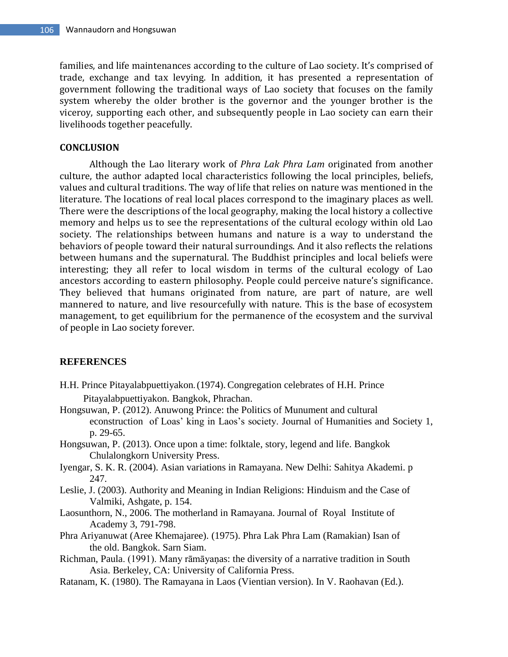families, and life maintenances according to the culture of Lao society. It's comprised of trade, exchange and tax levying. In addition, it has presented a representation of government following the traditional ways of Lao society that focuses on the family system whereby the older brother is the governor and the younger brother is the viceroy, supporting each other, and subsequently people in Lao society can earn their livelihoods together peacefully.

### **CONCLUSION**

Although the Lao literary work of *Phra Lak Phra Lam* originated from another culture, the author adapted local characteristics following the local principles, beliefs, values and cultural traditions. The way of life that relies on nature was mentioned in the literature. The locations of real local places correspond to the imaginary places as well. There were the descriptions of the local geography, making the local history a collective memory and helps us to see the representations of the cultural ecology within old Lao society. The relationships between humans and nature is a way to understand the behaviors of people toward their natural surroundings. And it also reflects the relations between humans and the supernatural. The Buddhist principles and local beliefs were interesting; they all refer to local wisdom in terms of the cultural ecology of Lao ancestors according to eastern philosophy. People could perceive nature's significance. They believed that humans originated from nature, are part of nature, are well mannered to nature, and live resourcefully with nature. This is the base of ecosystem management, to get equilibrium for the permanence of the ecosystem and the survival of people in Lao society forever.

#### **REFERENCES**

- H.H. Prince Pitayalabpuettiyakon**.**(1974). Congregation celebrates of H.H. Prince Pitayalabpuettiyakon. Bangkok, Phrachan.
- Hongsuwan, P. (2012). Anuwong Prince: the Politics of Munument and cultural econstruction of Loas' king in Laos's society. Journal of Humanities and Society 1, p. 29-65.
- Hongsuwan, P. (2013). Once upon a time: folktale, story, legend and life. Bangkok Chulalongkorn University Press.
- Iyengar, S. K. R. (2004). Asian variations in Ramayana. New Delhi: Sahitya Akademi. p 247.
- Leslie, J. (2003). Authority and Meaning in Indian Religions: Hinduism and the Case of Valmiki, Ashgate, p. 154.
- Laosunthorn, N., 2006. The motherland in Ramayana. Journal of Royal Institute of Academy 3, 791-798.
- Phra Ariyanuwat (Aree Khemajaree). (1975). Phra Lak Phra Lam (Ramakian) Isan of the old. Bangkok. Sarn Siam.
- Richman, Paula. (1991). Many rāmāyaṇas: the diversity of a narrative tradition in South Asia. Berkeley, CA: University of California Press.
- Ratanam, K. (1980). The Ramayana in Laos (Vientian version). In V. Raohavan (Ed.).